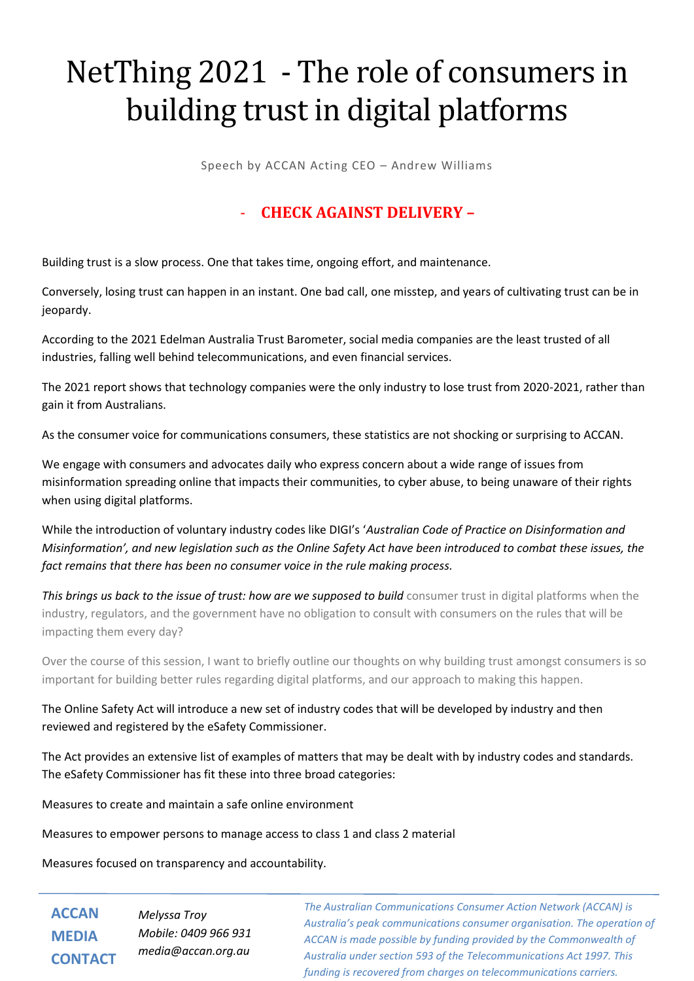## NetThing 2021 - The role of consumers in building trust in digital platforms

Speech by ACCAN Acting CEO – Andrew Williams

## - **CHECK AGAINST DELIVERY –**

Building trust is a slow process. One that takes time, ongoing effort, and maintenance.

Conversely, losing trust can happen in an instant. One bad call, one misstep, and years of cultivating trust can be in jeopardy.

According to the 2021 Edelman Australia Trust Barometer, social media companies are the least trusted of all industries, falling well behind telecommunications, and even financial services.

The 2021 report shows that technology companies were the only industry to lose trust from 2020-2021, rather than gain it from Australians.

As the consumer voice for communications consumers, these statistics are not shocking or surprising to ACCAN.

We engage with consumers and advocates daily who express concern about a wide range of issues from misinformation spreading online that impacts their communities, to cyber abuse, to being unaware of their rights when using digital platforms.

While the introduction of voluntary industry codes like DIGI's '*Australian Code of Practice on Disinformation and Misinformation', and new legislation such as the Online Safety Act have been introduced to combat these issues, the fact remains that there has been no consumer voice in the rule making process.* 

**This brings us back to the issue of trust: how are we supposed to build consumer trust in digital platforms when the** industry, regulators, and the government have no obligation to consult with consumers on the rules that will be impacting them every day?

Over the course of this session, I want to briefly outline our thoughts on why building trust amongst consumers is so important for building better rules regarding digital platforms, and our approach to making this happen.

The Online Safety Act will introduce a new set of industry codes that will be developed by industry and then reviewed and registered by the eSafety Commissioner.

The Act provides an extensive list of examples of matters that may be dealt with by industry codes and standards. The eSafety Commissioner has fit these into three broad categories:

Measures to create and maintain a safe online environment

Measures to empower persons to manage access to class 1 and class 2 material

Measures focused on transparency and accountability.

**ACCAN MEDIA CONTACT** *Melyssa Troy Mobile: 0409 966 931 media@accan.org.au*

*The Australian Communications Consumer Action Network (ACCAN) is Australia's peak communications consumer organisation. The operation of ACCAN is made possible by funding provided by the Commonwealth of Australia under section 593 of the Telecommunications Act 1997. This funding is recovered from charges on telecommunications carriers.*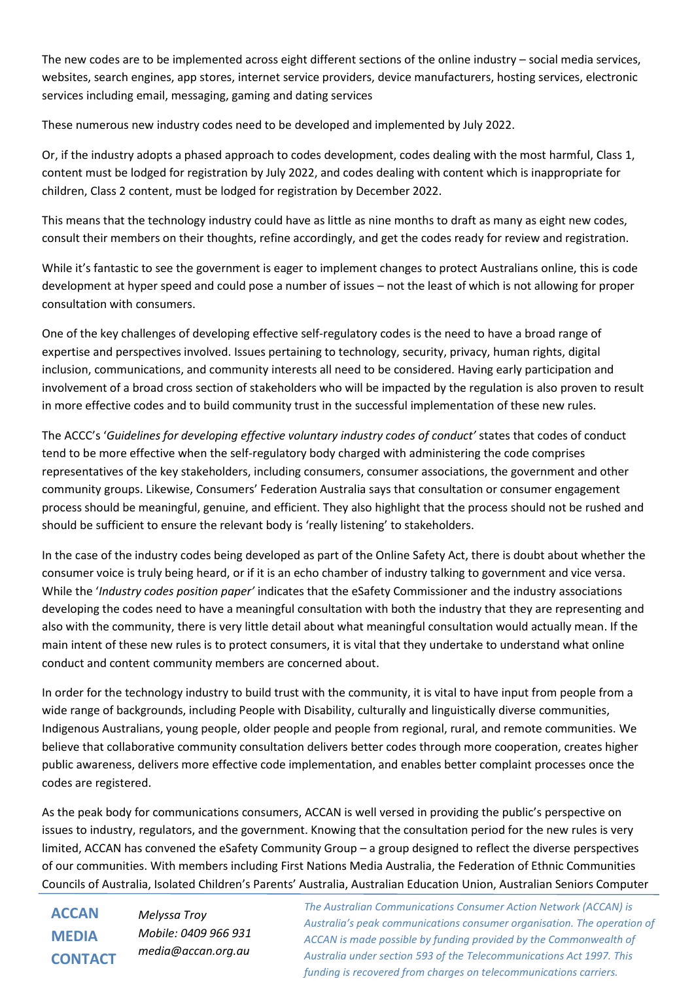The new codes are to be implemented across eight different sections of the online industry – social media services, websites, search engines, app stores, internet service providers, device manufacturers, hosting services, electronic services including email, messaging, gaming and dating services

These numerous new industry codes need to be developed and implemented by July 2022.

Or, if the industry adopts a phased approach to codes development, codes dealing with the most harmful, Class 1, content must be lodged for registration by July 2022, and codes dealing with content which is inappropriate for children, Class 2 content, must be lodged for registration by December 2022.

This means that the technology industry could have as little as nine months to draft as many as eight new codes, consult their members on their thoughts, refine accordingly, and get the codes ready for review and registration.

While it's fantastic to see the government is eager to implement changes to protect Australians online, this is code development at hyper speed and could pose a number of issues – not the least of which is not allowing for proper consultation with consumers.

One of the key challenges of developing effective self-regulatory codes is the need to have a broad range of expertise and perspectives involved. Issues pertaining to technology, security, privacy, human rights, digital inclusion, communications, and community interests all need to be considered. Having early participation and involvement of a broad cross section of stakeholders who will be impacted by the regulation is also proven to result in more effective codes and to build community trust in the successful implementation of these new rules.

The ACCC's '*Guidelines for developing effective voluntary industry codes of conduct'* states that codes of conduct tend to be more effective when the self-regulatory body charged with administering the code comprises representatives of the key stakeholders, including consumers, consumer associations, the government and other community groups. Likewise, Consumers' Federation Australia says that consultation or consumer engagement process should be meaningful, genuine, and efficient. They also highlight that the process should not be rushed and should be sufficient to ensure the relevant body is 'really listening' to stakeholders.

In the case of the industry codes being developed as part of the Online Safety Act, there is doubt about whether the consumer voice is truly being heard, or if it is an echo chamber of industry talking to government and vice versa. While the '*Industry codes position paper'* indicates that the eSafety Commissioner and the industry associations developing the codes need to have a meaningful consultation with both the industry that they are representing and also with the community, there is very little detail about what meaningful consultation would actually mean. If the main intent of these new rules is to protect consumers, it is vital that they undertake to understand what online conduct and content community members are concerned about.

In order for the technology industry to build trust with the community, it is vital to have input from people from a wide range of backgrounds, including People with Disability, culturally and linguistically diverse communities, Indigenous Australians, young people, older people and people from regional, rural, and remote communities. We believe that collaborative community consultation delivers better codes through more cooperation, creates higher public awareness, delivers more effective code implementation, and enables better complaint processes once the codes are registered.

As the peak body for communications consumers, ACCAN is well versed in providing the public's perspective on issues to industry, regulators, and the government. Knowing that the consultation period for the new rules is very limited, ACCAN has convened the eSafety Community Group – a group designed to reflect the diverse perspectives of our communities. With members including First Nations Media Australia, the Federation of Ethnic Communities Councils of Australia, Isolated Children's Parents' Australia, Australian Education Union, Australian Seniors Computer

**ACCAN MEDIA CONTACT** *Melyssa Troy Mobile: 0409 966 931 media@accan.org.au*

*The Australian Communications Consumer Action Network (ACCAN) is Australia's peak communications consumer organisation. The operation of ACCAN is made possible by funding provided by the Commonwealth of Australia under section 593 of the Telecommunications Act 1997. This funding is recovered from charges on telecommunications carriers.*